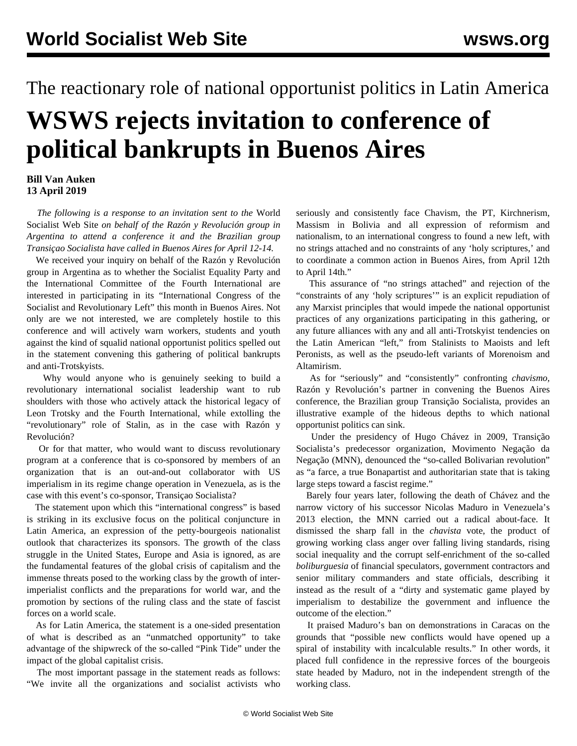## The reactionary role of national opportunist politics in Latin America **WSWS rejects invitation to conference of political bankrupts in Buenos Aires**

## **Bill Van Auken 13 April 2019**

 *The following is a response to an invitation sent to the* World Socialist Web Site *on behalf of the Razón y Revolución group in Argentina to attend a conference it and the Brazilian group Transiçao Socialista have called in Buenos Aires for April 12-14.*

 We received your inquiry on behalf of the Razón y Revolución group in Argentina as to whether the Socialist Equality Party and the International Committee of the Fourth International are interested in participating in its ["International Congress of the](https://razonyrevolucion.org/un-nuevo-comienzo-por-un-congreso-internacional-de-la-izquierda-socialista-y-revolucionaria/) [Socialist and Revolutionary Left](https://razonyrevolucion.org/un-nuevo-comienzo-por-un-congreso-internacional-de-la-izquierda-socialista-y-revolucionaria/)" this month in Buenos Aires. Not only are we not interested, we are completely hostile to this conference and will actively warn workers, students and youth against the kind of squalid national opportunist politics spelled out in the statement convening this gathering of political bankrupts and anti-Trotskyists.

 Why would anyone who is genuinely seeking to build a revolutionary international socialist leadership want to rub shoulders with those who actively attack the historical legacy of Leon Trotsky and the Fourth International, while extolling the "revolutionary" role of Stalin, as in the case with Razón y Revolución?

 Or for that matter, who would want to discuss revolutionary program at a conference that is co-sponsored by members of an organization that is an out-and-out collaborator with US imperialism in its regime change operation in Venezuela, as is the case with this event's co-sponsor, Transiçao Socialista?

 The statement upon which this "international congress" is based is striking in its exclusive focus on the political conjuncture in Latin America, an expression of the petty-bourgeois nationalist outlook that characterizes its sponsors. The growth of the class struggle in the United States, Europe and Asia is ignored, as are the fundamental features of the global crisis of capitalism and the immense threats posed to the working class by the growth of interimperialist conflicts and the preparations for world war, and the promotion by sections of the ruling class and the state of fascist forces on a world scale.

 As for Latin America, the statement is a one-sided presentation of what is described as an "unmatched opportunity" to take advantage of the shipwreck of the so-called "Pink Tide" under the impact of the global capitalist crisis.

 The most important passage in the statement reads as follows: "We invite all the organizations and socialist activists who seriously and consistently face Chavism, the PT, Kirchnerism, Massism in Bolivia and all expression of reformism and nationalism, to an international congress to found a new left, with no strings attached and no constraints of any 'holy scriptures,' and to coordinate a common action in Buenos Aires, from April 12th to April 14th."

 This assurance of "no strings attached" and rejection of the "constraints of any 'holy scriptures'" is an explicit repudiation of any Marxist principles that would impede the national opportunist practices of any organizations participating in this gathering, or any future alliances with any and all anti-Trotskyist tendencies on the Latin American "left," from Stalinists to Maoists and left Peronists, as well as the pseudo-left variants of Morenoism and Altamirism.

 As for "seriously" and "consistently" confronting *chavismo,* Razón y Revolución's partner in convening the Buenos Aires conference, the Brazilian group Transição Socialista, provides an illustrative example of the hideous depths to which national opportunist politics can sink.

 Under the presidency of Hugo Chávez in 2009, Transição Socialista's predecessor organization, Movimento Negação da Negação (MNN), denounced the "so-called Bolivarian revolution" as "a farce, a true Bonapartist and authoritarian state that is taking large steps toward a fascist regime."

 Barely four years later, following the death of Chávez and the narrow victory of his successor Nicolas Maduro in Venezuela's 2013 election, the MNN carried out a [radical about-face.](/en/articles/2013/05/21/vmnn-m21.html) It dismissed the sharp fall in the *chavista* vote, the product of growing working class anger over falling living standards, rising social inequality and the corrupt self-enrichment of the so-called *boliburguesia* of financial speculators, government contractors and senior military commanders and state officials, describing it instead as the result of a "dirty and systematic game played by imperialism to destabilize the government and influence the outcome of the election."

 It praised Maduro's ban on demonstrations in Caracas on the grounds that "possible new conflicts would have opened up a spiral of instability with incalculable results." In other words, it placed full confidence in the repressive forces of the bourgeois state headed by Maduro, not in the independent strength of the working class.